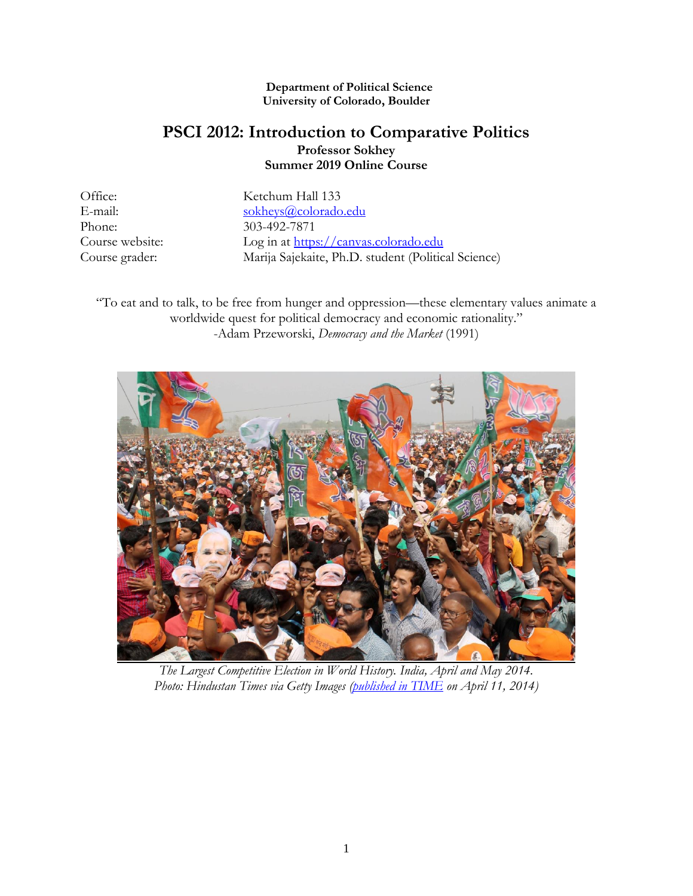#### **Department of Political Science University of Colorado, Boulder**

# **PSCI 2012: Introduction to Comparative Politics Professor Sokhey Summer 2019 Online Course**

Phone: 303-492-7871

Office: Ketchum Hall 133 E-mail: [sokheys@colorado.edu](mailto:sokheys@colorado.edu) Course website: Log in at [https://canvas.colorado.edu](https://canvas.colorado.edu/) Course grader: Marija Sajekaite, Ph.D. student (Political Science)

"To eat and to talk, to be free from hunger and oppression—these elementary values animate a worldwide quest for political democracy and economic rationality." -Adam Przeworski, *Democracy and the Market* (1991)



*The Largest Competitive Election in World History. India, April and May 2014. Photo: Hindustan Times via Getty Images [\(published in TIME](http://time.com/33062/india-elections-expenditure/) on April 11, 2014)*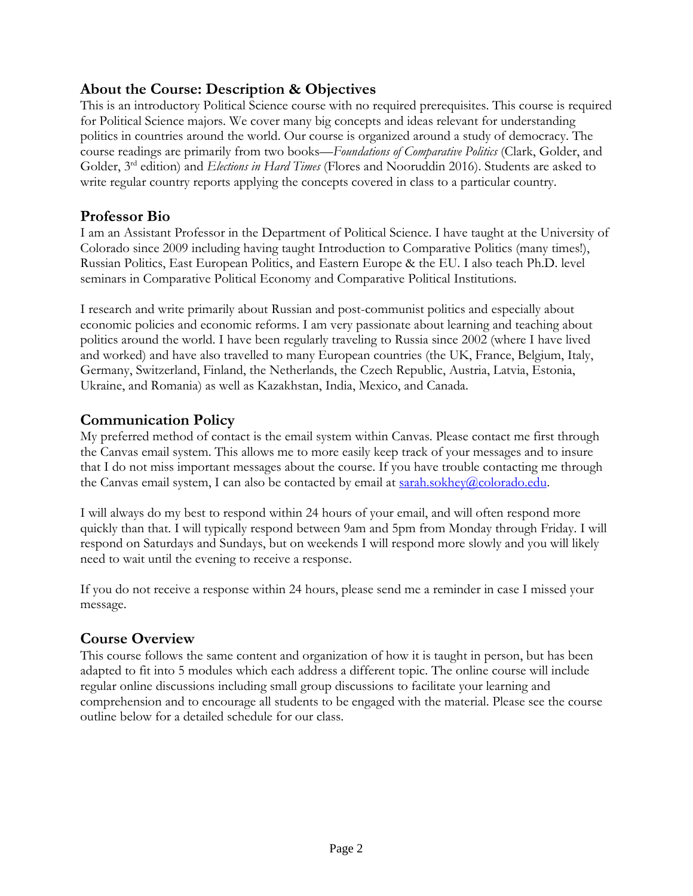# **About the Course: Description & Objectives**

This is an introductory Political Science course with no required prerequisites. This course is required for Political Science majors. We cover many big concepts and ideas relevant for understanding politics in countries around the world. Our course is organized around a study of democracy. The course readings are primarily from two books—*Foundations of Comparative Politics* (Clark, Golder, and Golder, 3rd edition) and *Elections in Hard Times* (Flores and Nooruddin 2016). Students are asked to write regular country reports applying the concepts covered in class to a particular country.

# **Professor Bio**

I am an Assistant Professor in the Department of Political Science. I have taught at the University of Colorado since 2009 including having taught Introduction to Comparative Politics (many times!), Russian Politics, East European Politics, and Eastern Europe & the EU. I also teach Ph.D. level seminars in Comparative Political Economy and Comparative Political Institutions.

I research and write primarily about Russian and post-communist politics and especially about economic policies and economic reforms. I am very passionate about learning and teaching about politics around the world. I have been regularly traveling to Russia since 2002 (where I have lived and worked) and have also travelled to many European countries (the UK, France, Belgium, Italy, Germany, Switzerland, Finland, the Netherlands, the Czech Republic, Austria, Latvia, Estonia, Ukraine, and Romania) as well as Kazakhstan, India, Mexico, and Canada.

# **Communication Policy**

My preferred method of contact is the email system within Canvas. Please contact me first through the Canvas email system. This allows me to more easily keep track of your messages and to insure that I do not miss important messages about the course. If you have trouble contacting me through the Canvas email system, I can also be contacted by email at [sarah.sokhey@colorado.edu.](mailto:sarah.sokhey@colorado.edu)

I will always do my best to respond within 24 hours of your email, and will often respond more quickly than that. I will typically respond between 9am and 5pm from Monday through Friday. I will respond on Saturdays and Sundays, but on weekends I will respond more slowly and you will likely need to wait until the evening to receive a response.

If you do not receive a response within 24 hours, please send me a reminder in case I missed your message.

# **Course Overview**

This course follows the same content and organization of how it is taught in person, but has been adapted to fit into 5 modules which each address a different topic. The online course will include regular online discussions including small group discussions to facilitate your learning and comprehension and to encourage all students to be engaged with the material. Please see the course outline below for a detailed schedule for our class.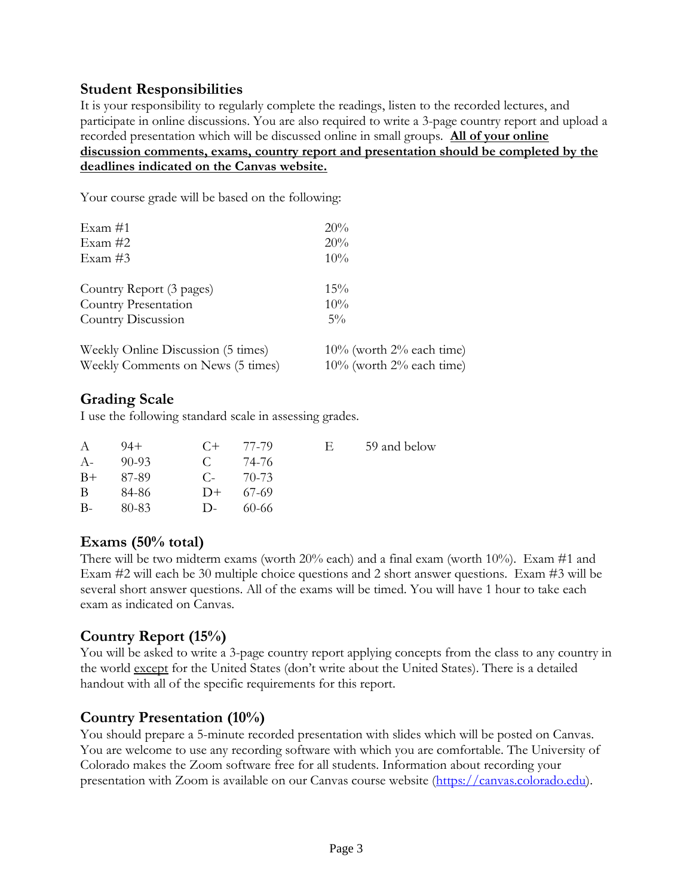### **Student Responsibilities**

It is your responsibility to regularly complete the readings, listen to the recorded lectures, and participate in online discussions. You are also required to write a 3-page country report and upload a recorded presentation which will be discussed online in small groups. **All of your online discussion comments, exams, country report and presentation should be completed by the deadlines indicated on the Canvas website.**

Your course grade will be based on the following:

| Exam $#1$<br>Exam $#2$<br>Exam $#3$ | 20%<br>20%<br>$10\%$           |
|-------------------------------------|--------------------------------|
| Country Report (3 pages)            | $15\%$                         |
| Country Presentation                | $10\%$                         |
| Country Discussion                  | $5\%$                          |
| Weekly Online Discussion (5 times)  | $10\%$ (worth $2\%$ each time) |
| Weekly Comments on News (5 times)   | $10\%$ (worth $2\%$ each time) |

### **Grading Scale**

I use the following standard scale in assessing grades.

| $\mathsf{A}$ | $94+$  |              | $C_{+}$ 77.79 | Е. | 59 and below |
|--------------|--------|--------------|---------------|----|--------------|
| $A-$         | -90-93 | C.           | 74-76         |    |              |
| $B+$         | 87-89  | $C_{\tau}$   | 70-73         |    |              |
| B.           | 84-86  |              | $D+ 67-69$    |    |              |
| $B -$        | 80-83  | $\mathbf{D}$ | 60-66         |    |              |

### **Exams (50% total)**

There will be two midterm exams (worth  $20\%$  each) and a final exam (worth  $10\%$ ). Exam #1 and Exam #2 will each be 30 multiple choice questions and 2 short answer questions. Exam #3 will be several short answer questions. All of the exams will be timed. You will have 1 hour to take each exam as indicated on Canvas.

### **Country Report (15%)**

You will be asked to write a 3-page country report applying concepts from the class to any country in the world except for the United States (don't write about the United States). There is a detailed handout with all of the specific requirements for this report.

### **Country Presentation (10%)**

You should prepare a 5-minute recorded presentation with slides which will be posted on Canvas. You are welcome to use any recording software with which you are comfortable. The University of Colorado makes the Zoom software free for all students. Information about recording your presentation with Zoom is available on our Canvas course website [\(https://canvas.colorado.edu\)](https://canvas.colorado.edu/).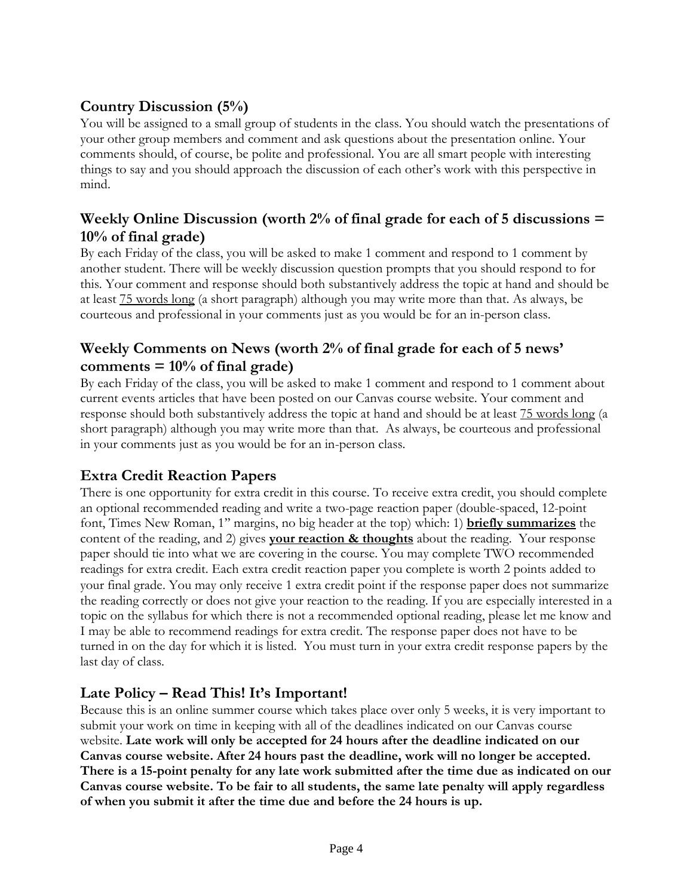# **Country Discussion (5%)**

You will be assigned to a small group of students in the class. You should watch the presentations of your other group members and comment and ask questions about the presentation online. Your comments should, of course, be polite and professional. You are all smart people with interesting things to say and you should approach the discussion of each other's work with this perspective in mind.

# **Weekly Online Discussion (worth 2% of final grade for each of 5 discussions = 10% of final grade)**

By each Friday of the class, you will be asked to make 1 comment and respond to 1 comment by another student. There will be weekly discussion question prompts that you should respond to for this. Your comment and response should both substantively address the topic at hand and should be at least 75 words long (a short paragraph) although you may write more than that. As always, be courteous and professional in your comments just as you would be for an in-person class.

# **Weekly Comments on News (worth 2% of final grade for each of 5 news' comments = 10% of final grade)**

By each Friday of the class, you will be asked to make 1 comment and respond to 1 comment about current events articles that have been posted on our Canvas course website. Your comment and response should both substantively address the topic at hand and should be at least 75 words long (a short paragraph) although you may write more than that. As always, be courteous and professional in your comments just as you would be for an in-person class.

# **Extra Credit Reaction Papers**

There is one opportunity for extra credit in this course. To receive extra credit, you should complete an optional recommended reading and write a two-page reaction paper (double-spaced, 12-point font, Times New Roman, 1'' margins, no big header at the top) which: 1) **briefly summarizes** the content of the reading, and 2) gives **your reaction & thoughts** about the reading. Your response paper should tie into what we are covering in the course. You may complete TWO recommended readings for extra credit. Each extra credit reaction paper you complete is worth 2 points added to your final grade. You may only receive 1 extra credit point if the response paper does not summarize the reading correctly or does not give your reaction to the reading. If you are especially interested in a topic on the syllabus for which there is not a recommended optional reading, please let me know and I may be able to recommend readings for extra credit. The response paper does not have to be turned in on the day for which it is listed. You must turn in your extra credit response papers by the last day of class.

# **Late Policy – Read This! It's Important!**

Because this is an online summer course which takes place over only 5 weeks, it is very important to submit your work on time in keeping with all of the deadlines indicated on our Canvas course website. **Late work will only be accepted for 24 hours after the deadline indicated on our Canvas course website. After 24 hours past the deadline, work will no longer be accepted. There is a 15-point penalty for any late work submitted after the time due as indicated on our Canvas course website. To be fair to all students, the same late penalty will apply regardless of when you submit it after the time due and before the 24 hours is up.**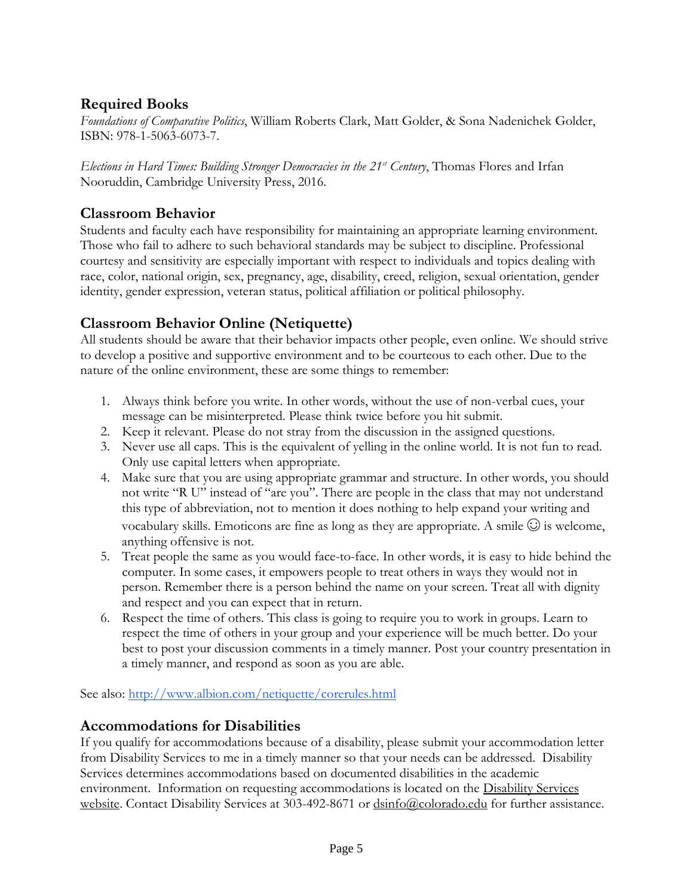# **Required Books**

*Foundations of Comparative Politics*, William Roberts Clark, Matt Golder, & Sona Nadenichek Golder, ISBN: 978-1-5063-6073-7.

*Elections in Hard Times: Building Stronger Democracies in the 21st Century*, Thomas Flores and Irfan Nooruddin, Cambridge University Press, 2016.

# **Classroom Behavior**

Students and faculty each have responsibility for maintaining an appropriate learning environment. Those who fail to adhere to such behavioral standards may be subject to discipline. Professional courtesy and sensitivity are especially important with respect to individuals and topics dealing with race, color, national origin, sex, pregnancy, age, disability, creed, religion, sexual orientation, gender identity, gender expression, veteran status, political affiliation or political philosophy.

## **Classroom Behavior Online (Netiquette)**

All students should be aware that their behavior impacts other people, even online. We should strive to develop a positive and supportive environment and to be courteous to each other. Due to the nature of the online environment, these are some things to remember:

- 1. Always think before you write. In other words, without the use of non-verbal cues, your message can be misinterpreted. Please think twice before you hit submit.
- 2. Keep it relevant. Please do not stray from the discussion in the assigned questions.
- 3. Never use all caps. This is the equivalent of yelling in the online world. It is not fun to read. Only use capital letters when appropriate.
- 4. Make sure that you are using appropriate grammar and structure. In other words, you should not write "R U" instead of "are you". There are people in the class that may not understand this type of abbreviation, not to mention it does nothing to help expand your writing and vocabulary skills. Emoticons are fine as long as they are appropriate. A smile  $\odot$  is welcome, anything offensive is not.
- 5. Treat people the same as you would face-to-face. In other words, it is easy to hide behind the computer. In some cases, it empowers people to treat others in ways they would not in person. Remember there is a person behind the name on your screen. Treat all with dignity and respect and you can expect that in return.
- 6. Respect the time of others. This class is going to require you to work in groups. Learn to respect the time of others in your group and your experience will be much better. Do your best to post your discussion comments in a timely manner. Post your country presentation in a timely manner, and respond as soon as you are able.

See also:<http://www.albion.com/netiquette/corerules.html>

### **Accommodations for Disabilities**

If you qualify for accommodations because of a disability, please submit your accommodation letter from Disability Services to me in a timely manner so that your needs can be addressed. Disability Services determines accommodations based on documented disabilities in the academic environment. Information on requesting accommodations is located on the [Disability Services](http://www.colorado.edu/disabilityservices/students)  [website.](http://www.colorado.edu/disabilityservices/students) Contact Disability Services at 303-492-8671 or  $\frac{d \sin 160 \cdot \text{al}}{d \cosh 20 \cdot \text{al}}$  for further assistance.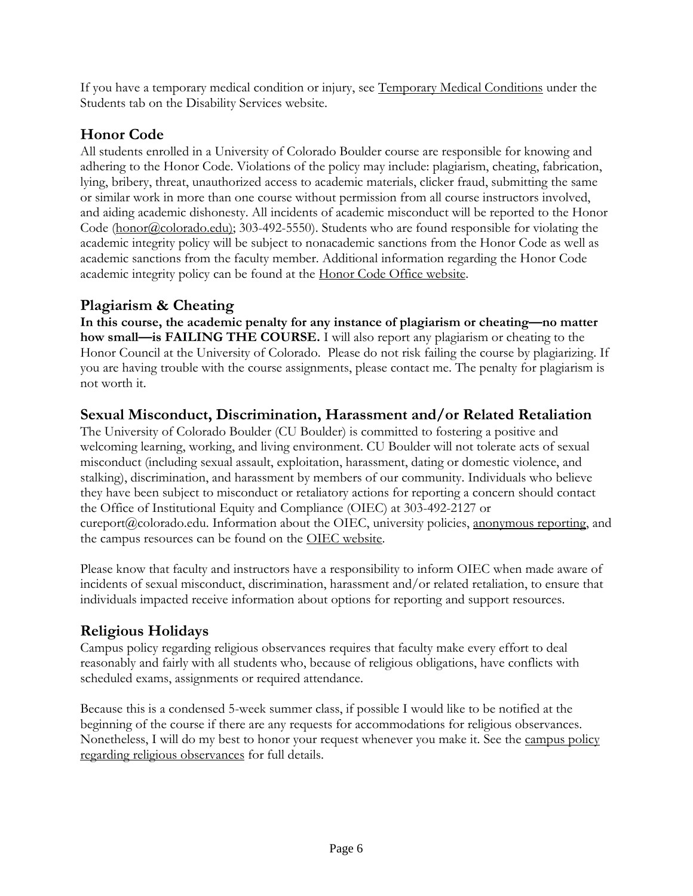If you have a temporary medical condition or injury, see [Temporary Medical Conditions](http://www.colorado.edu/disabilityservices/students/temporary-medical-conditions) under the Students tab on the Disability Services website.

# **Honor Code**

All students enrolled in a University of Colorado Boulder course are responsible for knowing and adhering to the Honor Code. Violations of the policy may include: plagiarism, cheating, fabrication, lying, bribery, threat, unauthorized access to academic materials, clicker fraud, submitting the same or similar work in more than one course without permission from all course instructors involved, and aiding academic dishonesty. All incidents of academic misconduct will be reported to the Honor Code [\(honor@colorado.edu\)](mailto:honor@colorado.edu); 303-492-5550). Students who are found responsible for violating the academic integrity policy will be subject to nonacademic sanctions from the Honor Code as well as academic sanctions from the faculty member. Additional information regarding the Honor Code academic integrity policy can be found at the [Honor Code Office website.](https://www.colorado.edu/osccr/honor-code)

## **Plagiarism & Cheating**

**In this course, the academic penalty for any instance of plagiarism or cheating—no matter how small—is FAILING THE COURSE.** I will also report any plagiarism or cheating to the Honor Council at the University of Colorado. Please do not risk failing the course by plagiarizing. If you are having trouble with the course assignments, please contact me. The penalty for plagiarism is not worth it.

## **Sexual Misconduct, Discrimination, Harassment and/or Related Retaliation**

The University of Colorado Boulder (CU Boulder) is committed to fostering a positive and welcoming learning, working, and living environment. CU Boulder will not tolerate acts of sexual misconduct (including sexual assault, exploitation, harassment, dating or domestic violence, and stalking), discrimination, and harassment by members of our community. Individuals who believe they have been subject to misconduct or retaliatory actions for reporting a concern should contact the Office of Institutional Equity and Compliance (OIEC) at 303-492-2127 or cureport@colorado.edu. Information about the OIEC, university policies, [anonymous reporting,](https://cuboulder.qualtrics.com/jfe/form/SV_0PnqVK4kkIJIZnf) and the campus resources can be found on the [OIEC website.](http://www.colorado.edu/institutionalequity/)

Please know that faculty and instructors have a responsibility to inform OIEC when made aware of incidents of sexual misconduct, discrimination, harassment and/or related retaliation, to ensure that individuals impacted receive information about options for reporting and support resources.

# **Religious Holidays**

Campus policy regarding religious observances requires that faculty make every effort to deal reasonably and fairly with all students who, because of religious obligations, have conflicts with scheduled exams, assignments or required attendance.

Because this is a condensed 5-week summer class, if possible I would like to be notified at the beginning of the course if there are any requests for accommodations for religious observances. Nonetheless, I will do my best to honor your request whenever you make it. See the [campus policy](http://www.colorado.edu/policies/observance-religious-holidays-and-absences-classes-andor-exams)  [regarding religious observances](http://www.colorado.edu/policies/observance-religious-holidays-and-absences-classes-andor-exams) for full details.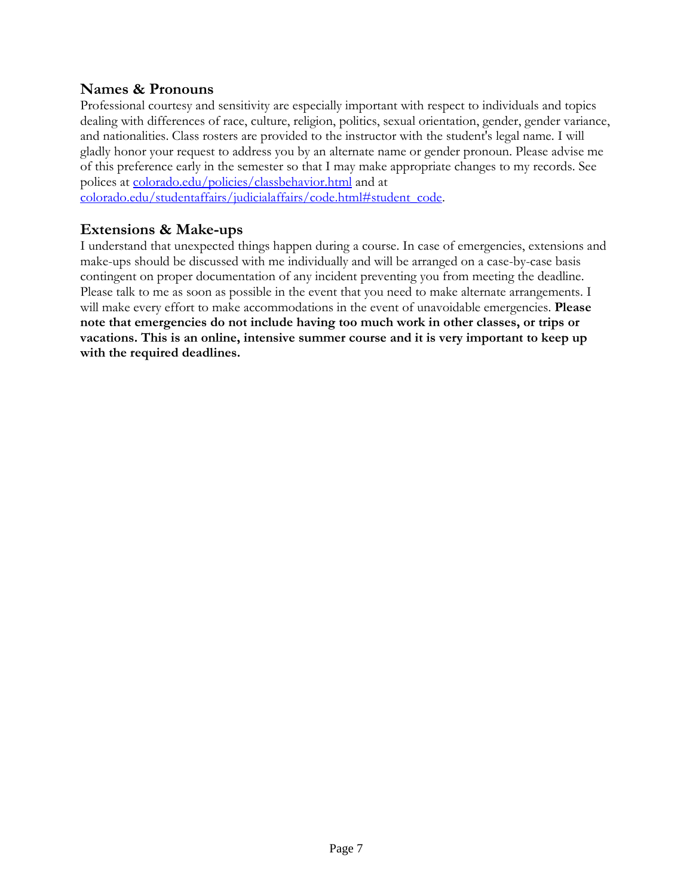### **Names & Pronouns**

Professional courtesy and sensitivity are especially important with respect to individuals and topics dealing with differences of race, culture, religion, politics, sexual orientation, gender, gender variance, and nationalities. Class rosters are provided to the instructor with the student's legal name. I will gladly honor your request to address you by an alternate name or gender pronoun. Please advise me of this preference early in the semester so that I may make appropriate changes to my records. See polices at [colorado.edu/policies/classbehavior.html](http://www.colorado.edu/policies/classbehavior.html) and at

[colorado.edu/studentaffairs/judicialaffairs/code.html#student\\_code.](http://www.colorado.edu/studentaffairs/judicialaffairs/code.html)

### **Extensions & Make-ups**

I understand that unexpected things happen during a course. In case of emergencies, extensions and make-ups should be discussed with me individually and will be arranged on a case-by-case basis contingent on proper documentation of any incident preventing you from meeting the deadline. Please talk to me as soon as possible in the event that you need to make alternate arrangements. I will make every effort to make accommodations in the event of unavoidable emergencies. **Please note that emergencies do not include having too much work in other classes, or trips or vacations. This is an online, intensive summer course and it is very important to keep up with the required deadlines.**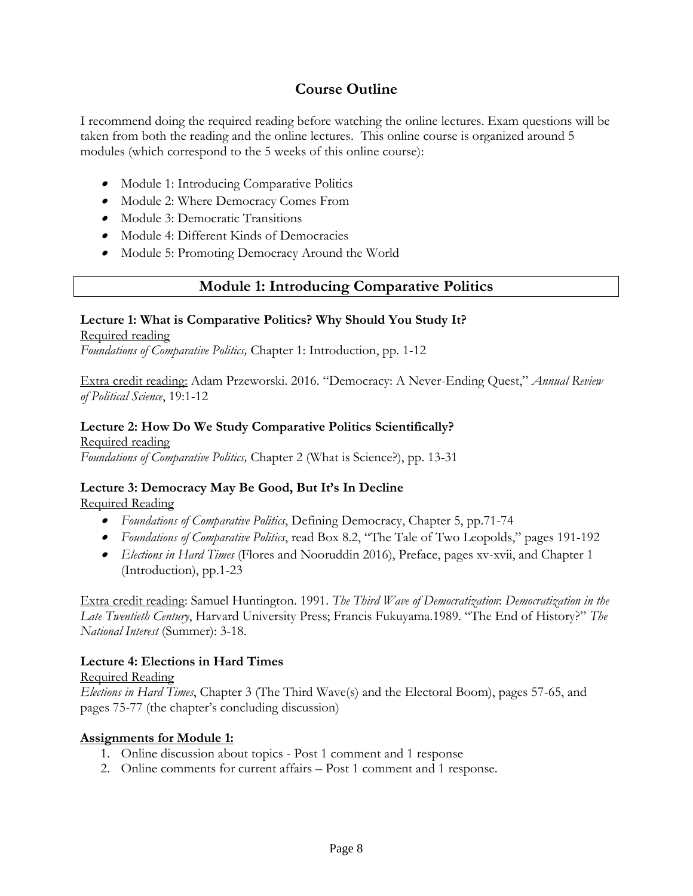## **Course Outline**

I recommend doing the required reading before watching the online lectures. Exam questions will be taken from both the reading and the online lectures. This online course is organized around 5 modules (which correspond to the 5 weeks of this online course):

- Module 1: Introducing Comparative Politics
- Module 2: Where Democracy Comes From
- Module 3: Democratic Transitions
- Module 4: Different Kinds of Democracies
- Module 5: Promoting Democracy Around the World

### **Module 1: Introducing Comparative Politics**

#### **Lecture 1: What is Comparative Politics? Why Should You Study It?**

#### Required reading

*Foundations of Comparative Politics,* Chapter 1: Introduction, pp. 1-12

Extra credit reading: Adam Przeworski. 2016. "Democracy: A Never-Ending Quest," *Annual Review of Political Science*, 19:1-12

#### **Lecture 2: How Do We Study Comparative Politics Scientifically?**

Required reading *Foundations of Comparative Politics,* Chapter 2 (What is Science?), pp. 13-31

### **Lecture 3: Democracy May Be Good, But It's In Decline**

#### Required Reading

- *Foundations of Comparative Politics*, Defining Democracy, Chapter 5, pp.71-74
- *Foundations of Comparative Politics*, read Box 8.2, "The Tale of Two Leopolds," pages 191-192
- *Elections in Hard Times* (Flores and Nooruddin 2016), Preface, pages xv-xvii, and Chapter 1 (Introduction), pp.1-23

Extra credit reading: Samuel Huntington. 1991. *The Third Wave of Democratization*: *Democratization in the Late Twentieth Century*, Harvard University Press; Francis Fukuyama.1989. "The End of History?" *The National Interest* (Summer): 3-18.

#### **Lecture 4: Elections in Hard Times**

#### Required Reading

*Elections in Hard Times*, Chapter 3 (The Third Wave(s) and the Electoral Boom), pages 57-65, and pages 75-77 (the chapter's concluding discussion)

#### **Assignments for Module 1:**

- 1. Online discussion about topics Post 1 comment and 1 response
- 2. Online comments for current affairs Post 1 comment and 1 response.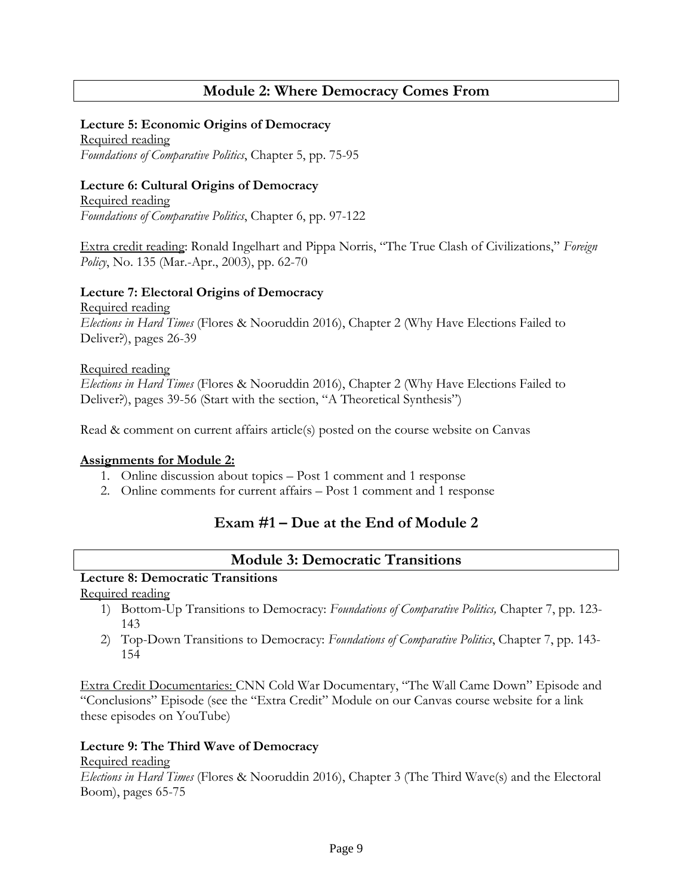# **Module 2: Where Democracy Comes From**

#### **Lecture 5: Economic Origins of Democracy**

Required reading *Foundations of Comparative Politics*, Chapter 5, pp. 75-95

#### **Lecture 6: Cultural Origins of Democracy**

Required reading *Foundations of Comparative Politics*, Chapter 6, pp. 97-122

Extra credit reading: Ronald Ingelhart and Pippa Norris, "The True Clash of Civilizations," *Foreign Policy*, No. 135 (Mar.-Apr., 2003), pp. 62-70

#### **Lecture 7: Electoral Origins of Democracy**

Required reading *Elections in Hard Times* (Flores & Nooruddin 2016), Chapter 2 (Why Have Elections Failed to Deliver?), pages 26-39

#### Required reading

*Elections in Hard Times* (Flores & Nooruddin 2016), Chapter 2 (Why Have Elections Failed to Deliver?), pages 39-56 (Start with the section, "A Theoretical Synthesis")

Read & comment on current affairs article(s) posted on the course website on Canvas

#### **Assignments for Module 2:**

- 1. Online discussion about topics Post 1 comment and 1 response
- 2. Online comments for current affairs Post 1 comment and 1 response

### **Exam #1 – Due at the End of Module 2**

### **Module 3: Democratic Transitions**

### **Lecture 8: Democratic Transitions**

Required reading

- 1) Bottom-Up Transitions to Democracy: *Foundations of Comparative Politics,* Chapter 7, pp. 123- 143
- 2) Top-Down Transitions to Democracy: *Foundations of Comparative Politics*, Chapter 7, pp. 143- 154

Extra Credit Documentaries: CNN Cold War Documentary, "The Wall Came Down" Episode and "Conclusions" Episode (see the "Extra Credit" Module on our Canvas course website for a link these episodes on YouTube)

#### **Lecture 9: The Third Wave of Democracy**

#### Required reading

*Elections in Hard Times* (Flores & Nooruddin 2016), Chapter 3 (The Third Wave(s) and the Electoral Boom), pages 65-75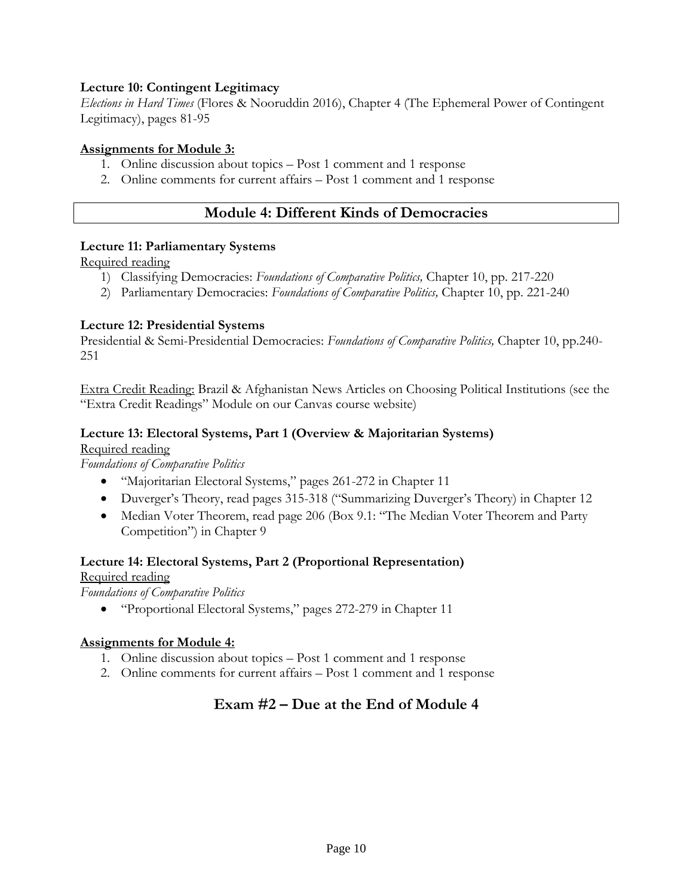#### **Lecture 10: Contingent Legitimacy**

*Elections in Hard Times* (Flores & Nooruddin 2016), Chapter 4 (The Ephemeral Power of Contingent Legitimacy), pages 81-95

#### **Assignments for Module 3:**

- 1. Online discussion about topics Post 1 comment and 1 response
- 2. Online comments for current affairs Post 1 comment and 1 response

# **Module 4: Different Kinds of Democracies**

#### **Lecture 11: Parliamentary Systems**

Required reading

- 1) Classifying Democracies: *Foundations of Comparative Politics,* Chapter 10, pp. 217-220
- 2) Parliamentary Democracies: *Foundations of Comparative Politics,* Chapter 10, pp. 221-240

#### **Lecture 12: Presidential Systems**

Presidential & Semi-Presidential Democracies: *Foundations of Comparative Politics,* Chapter 10, pp.240- 251

Extra Credit Reading: Brazil & Afghanistan News Articles on Choosing Political Institutions (see the "Extra Credit Readings" Module on our Canvas course website)

#### **Lecture 13: Electoral Systems, Part 1 (Overview & Majoritarian Systems)**

Required reading

*Foundations of Comparative Politics*

- "Majoritarian Electoral Systems," pages 261-272 in Chapter 11
- Duverger's Theory, read pages 315-318 ("Summarizing Duverger's Theory) in Chapter 12
- Median Voter Theorem, read page 206 (Box 9.1: "The Median Voter Theorem and Party Competition") in Chapter 9

### **Lecture 14: Electoral Systems, Part 2 (Proportional Representation)**

### Required reading

*Foundations of Comparative Politics*

"Proportional Electoral Systems," pages 272-279 in Chapter 11

#### **Assignments for Module 4:**

- 1. Online discussion about topics Post 1 comment and 1 response
- 2. Online comments for current affairs Post 1 comment and 1 response

# **Exam #2 – Due at the End of Module 4**